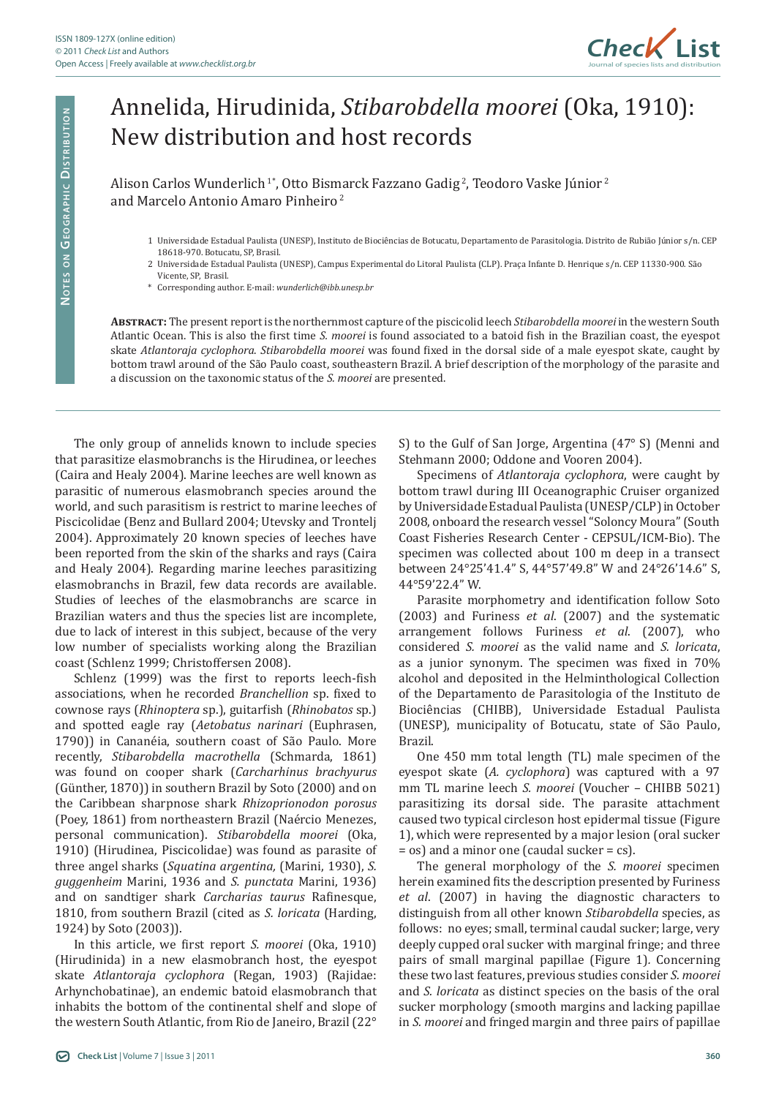

## Annelida, Hirudinida, *Stibarobdella moorei* (Oka, 1910): New distribution and host records

Alison Carlos Wunderlich 1\*, Otto Bismarck Fazzano Gadig 2, Teodoro Vaske Júnior 2 and Marcelo Antonio Amaro Pinheiro 2

- 1 Universidade Estadual Paulista (UNESP), Instituto de Biociências de Botucatu, Departamento de Parasitologia. Distrito de Rubião Júnior s/n. CEP 18618-970. Botucatu, SP, Brasil.
- 2 Universidade Estadual Paulista (UNESP), Campus Experimental do Litoral Paulista (CLP). Praça Infante D. Henrique s/n. CEP 11330-900. São Vicente, SP, Brasil.
- \* Corresponding author. E-mail: *wunderlich@ibb.unesp.br*

**Abstract:** The present report is the northernmost capture of the piscicolid leech *Stibarobdella moorei* in the western South Atlantic Ocean. This is also the first time *S. moorei* is found associated to a batoid fish in the Brazilian coast, the eyespot skate *Atlantoraja cyclophora*. *Stibarobdella moorei* was found fixed in the dorsal side of a male eyespot skate, caught by bottom trawl around of the São Paulo coast, southeastern Brazil. A brief description of the morphology of the parasite and a discussion on the taxonomic status of the *S. moorei* are presented.

The only group of annelids known to include species that parasitize elasmobranchs is the Hirudinea, or leeches (Caira and Healy 2004). Marine leeches are well known as parasitic of numerous elasmobranch species around the world, and such parasitism is restrict to marine leeches of Piscicolidae (Benz and Bullard 2004; Utevsky and Trontelj 2004). Approximately 20 known species of leeches have been reported from the skin of the sharks and rays (Caira and Healy 2004). Regarding marine leeches parasitizing elasmobranchs in Brazil, few data records are available. Studies of leeches of the elasmobranchs are scarce in Brazilian waters and thus the species list are incomplete, due to lack of interest in this subject, because of the very low number of specialists working along the Brazilian coast (Schlenz 1999; Christoffersen 2008).

Schlenz (1999) was the first to reports leech-fish associations, when he recorded *Branchellion* sp. fixed to cownose rays (*Rhinoptera* sp.), guitarfish (*Rhinobatos* sp.) and spotted eagle ray (*Aetobatus narinari* (Euphrasen, 1790)) in Cananéia, southern coast of São Paulo. More recently, *Stibarobdella macrothella* (Schmarda, 1861) was found on cooper shark (*Carcharhinus brachyurus* (Günther, 1870)) in southern Brazil by Soto (2000) and on the Caribbean sharpnose shark *Rhizoprionodon porosus* (Poey, 1861) from northeastern Brazil (Naércio Menezes, personal communication). *Stibarobdella moorei* (Oka, 1910) (Hirudinea, Piscicolidae) was found as parasite of three angel sharks (*Squatina argentina,* (Marini, 1930), *S. guggenheim* Marini, 1936 and *S. punctata* Marini, 1936) and on sandtiger shark *Carcharias taurus* Rafinesque, 1810, from southern Brazil (cited as *S. loricata* (Harding, 1924) by Soto (2003)).

In this article, we first report *S. moorei* (Oka, 1910) (Hirudinida) in a new elasmobranch host, the eyespot skate *Atlantoraja cyclophora* (Regan, 1903) (Rajidae: Arhynchobatinae), an endemic batoid elasmobranch that inhabits the bottom of the continental shelf and slope of the western South Atlantic, from Rio de Janeiro, Brazil (22° S) to the Gulf of San Jorge, Argentina (47° S) (Menni and Stehmann 2000; Oddone and Vooren 2004).

Specimens of *Atlantoraja cyclophora*, were caught by bottom trawl during III Oceanographic Cruiser organized by Universidade Estadual Paulista (UNESP/CLP) in October 2008, onboard the research vessel "Soloncy Moura" (South Coast Fisheries Research Center - CEPSUL/ICM-Bio). The specimen was collected about 100 m deep in a transect between 24°25'41.4" S, 44°57'49.8" W and 24°26'14.6" S, 44°59'22.4" W.

Parasite morphometry and identification follow Soto (2003) and Furiness *et al*. (2007) and the systematic arrangement follows Furiness *et al*. (2007), who considered *S. moorei* as the valid name and *S. loricata*, as a junior synonym. The specimen was fixed in 70% alcohol and deposited in the Helminthological Collection of the Departamento de Parasitologia of the Instituto de Biociências (CHIBB), Universidade Estadual Paulista (UNESP), municipality of Botucatu, state of São Paulo, Brazil.

One 450 mm total length (TL) male specimen of the eyespot skate (*A. cyclophora*) was captured with a 97 mm TL marine leech *S. moorei* (Voucher – CHIBB 5021) parasitizing its dorsal side. The parasite attachment caused two typical circleson host epidermal tissue (Figure 1), which were represented by a major lesion (oral sucker = os) and a minor one (caudal sucker = cs).

The general morphology of the *S. moorei* specimen herein examined fits the description presented by Furiness *et al*. (2007) in having the diagnostic characters to distinguish from all other known *Stibarobdella* species, as follows: no eyes; small, terminal caudal sucker; large, very deeply cupped oral sucker with marginal fringe; and three pairs of small marginal papillae (Figure 1)*.* Concerning these two last features, previous studies consider *S. moorei* and *S. loricata* as distinct species on the basis of the oral sucker morphology (smooth margins and lacking papillae in *S. moorei* and fringed margin and three pairs of papillae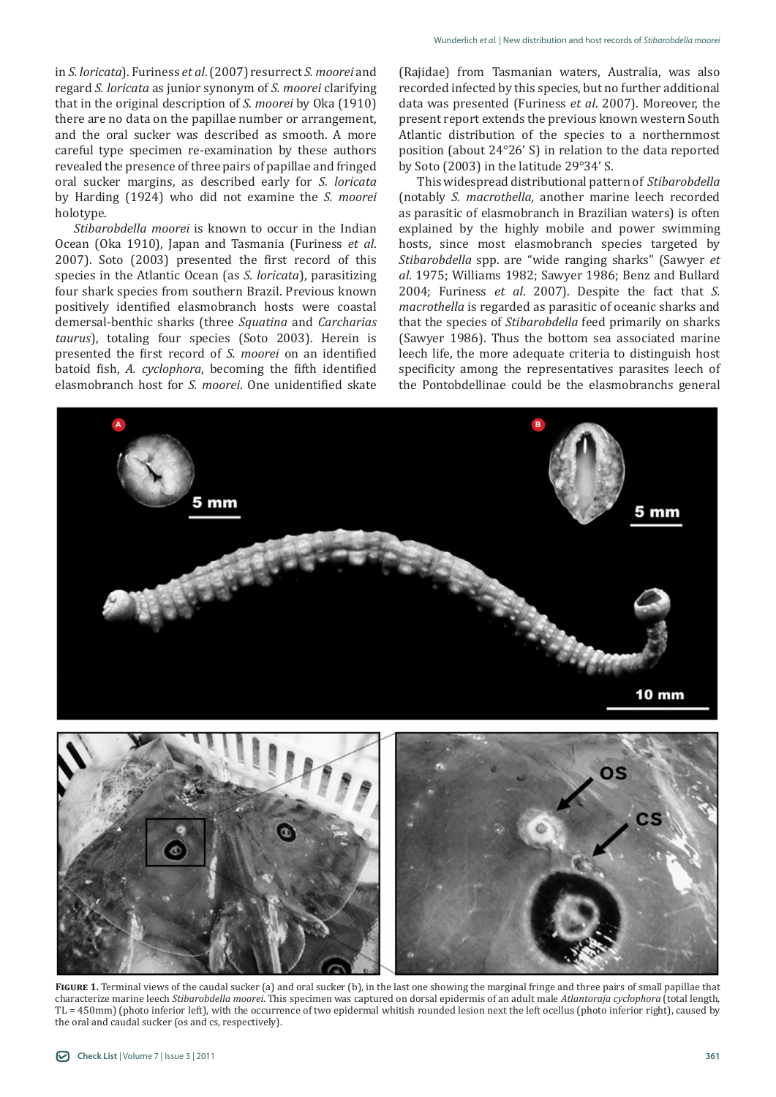in *S. loricata*). Furiness *et al*. (2007) resurrect *S. moorei* and regard *S. loricata* as junior synonym of *S. moorei* clarifying that in the original description of *S. moorei* by Oka (1910) there are no data on the papillae number or arrangement, and the oral sucker was described as smooth. A more careful type specimen re-examination by these authors revealed the presence of three pairs of papillae and fringed oral sucker margins, as described early for *S. loricata* by Harding (1924) who did not examine the *S. moorei* holotype.

*Stibarobdella moorei* is known to occur in the Indian Ocean (Oka 1910), Japan and Tasmania (Furiness *et al*. 2007). Soto (2003) presented the first record of this species in the Atlantic Ocean (as *S. loricata*), parasitizing four shark species from southern Brazil. Previous known positively identified elasmobranch hosts were coastal demersal-benthic sharks (three *Squatina* and *Carcharias taurus*), totaling four species (Soto 2003). Herein is presented the first record of *S. moorei* on an identified batoid fish, *A. cyclophora*, becoming the fifth identified elasmobranch host for *S. moorei*. One unidentified skate

(Rajidae) from Tasmanian waters, Australia, was also recorded infected by this species, but no further additional data was presented (Furiness *et al*. 2007). Moreover, the present report extends the previous known western South Atlantic distribution of the species to a northernmost position (about 24°26' S) in relation to the data reported by Soto (2003) in the latitude 29°34' S.

This widespread distributional pattern of *Stibarobdella* (notably *S. macrothella,* another marine leech recorded as parasitic of elasmobranch in Brazilian waters) is often explained by the highly mobile and power swimming hosts, since most elasmobranch species targeted by *Stibarobdella* spp. are "wide ranging sharks" (Sawyer *et al*. 1975; Williams 1982; Sawyer 1986; Benz and Bullard 2004; Furiness *et al*. 2007). Despite the fact that *S. macrothella* is regarded as parasitic of oceanic sharks and that the species of *Stibarobdella* feed primarily on sharks (Sawyer 1986). Thus the bottom sea associated marine leech life, the more adequate criteria to distinguish host specificity among the representatives parasites leech of the Pontobdellinae could be the elasmobranchs general



**FIGURE** 1. Terminal views of the caudal sucker (a) and oral sucker (b), in the last one showing the marginal fringe and three pairs of small papillae that characterize marine leech *Stibarobdella moorei*. This specimen was captured on dorsal epidermis of an adult male *Atlantoraja cyclophora* (total length, TL = 450mm) (photo inferior left), with the occurrence of two epidermal whitish rounded lesion next the left ocellus (photo inferior right), caused by the oral and caudal sucker (os and cs, respectively).